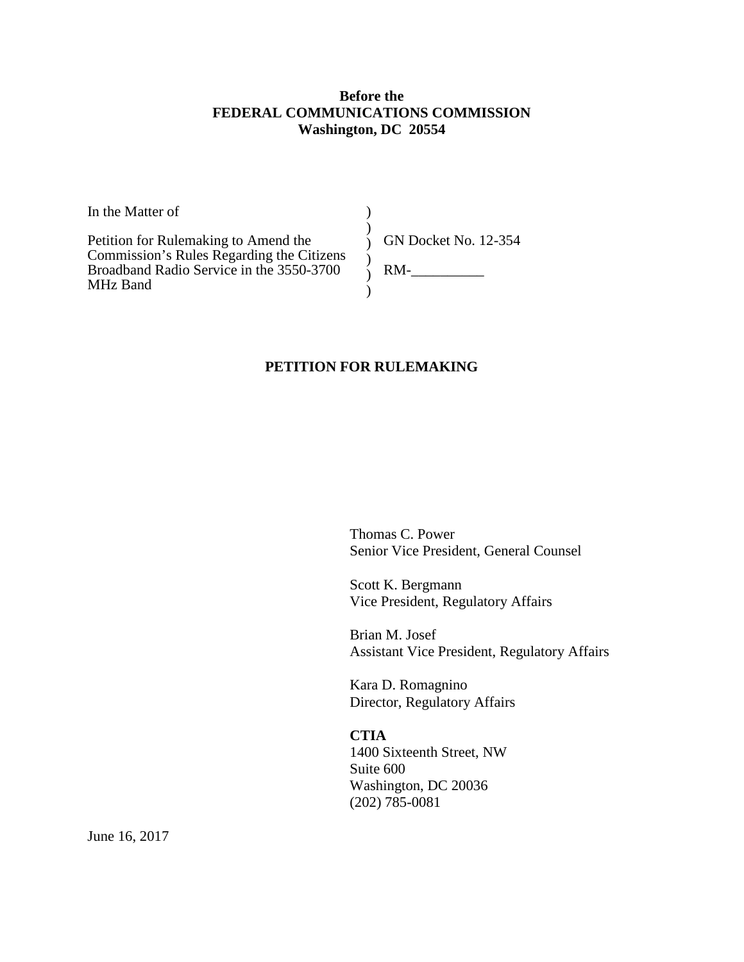#### **Before the FEDERAL COMMUNICATIONS COMMISSION Washington, DC 20554**

)  $\lambda$ 

 $\mathcal{L}$ 

 $\lambda$ 

In the Matter of

Petition for Rulemaking to Amend the Commission's Rules Regarding the Citizens Broadband Radio Service in the 3550-3700 MHz Band

) GN Docket No. 12-354 ) RM-\_\_\_\_\_\_\_\_\_\_

### **PETITION FOR RULEMAKING**

Thomas C. Power Senior Vice President, General Counsel

Scott K. Bergmann Vice President, Regulatory Affairs

Brian M. Josef Assistant Vice President, Regulatory Affairs

Kara D. Romagnino Director, Regulatory Affairs

**CTIA** 1400 Sixteenth Street, NW Suite 600 Washington, DC 20036 (202) 785-0081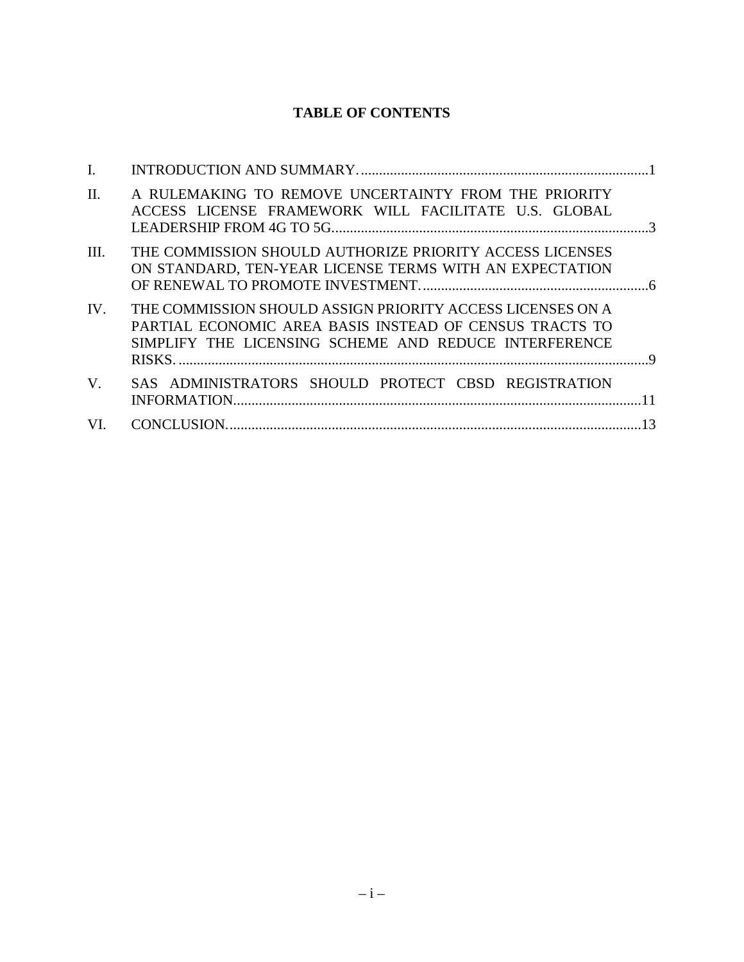# **TABLE OF CONTENTS**

| I.      |                                                                                                                                                                                |  |
|---------|--------------------------------------------------------------------------------------------------------------------------------------------------------------------------------|--|
| $\Pi$ . | A RULEMAKING TO REMOVE UNCERTAINTY FROM THE PRIORITY<br>ACCESS LICENSE FRAMEWORK WILL FACILITATE U.S. GLOBAL                                                                   |  |
| III.    | THE COMMISSION SHOULD AUTHORIZE PRIORITY ACCESS LICENSES<br>ON STANDARD, TEN-YEAR LICENSE TERMS WITH AN EXPECTATION                                                            |  |
| IV.     | THE COMMISSION SHOULD ASSIGN PRIORITY ACCESS LICENSES ON A<br>PARTIAL ECONOMIC AREA BASIS INSTEAD OF CENSUS TRACTS TO<br>SIMPLIFY THE LICENSING SCHEME AND REDUCE INTERFERENCE |  |
| V.      | SAS ADMINISTRATORS SHOULD PROTECT CBSD REGISTRATION                                                                                                                            |  |
| VI.     |                                                                                                                                                                                |  |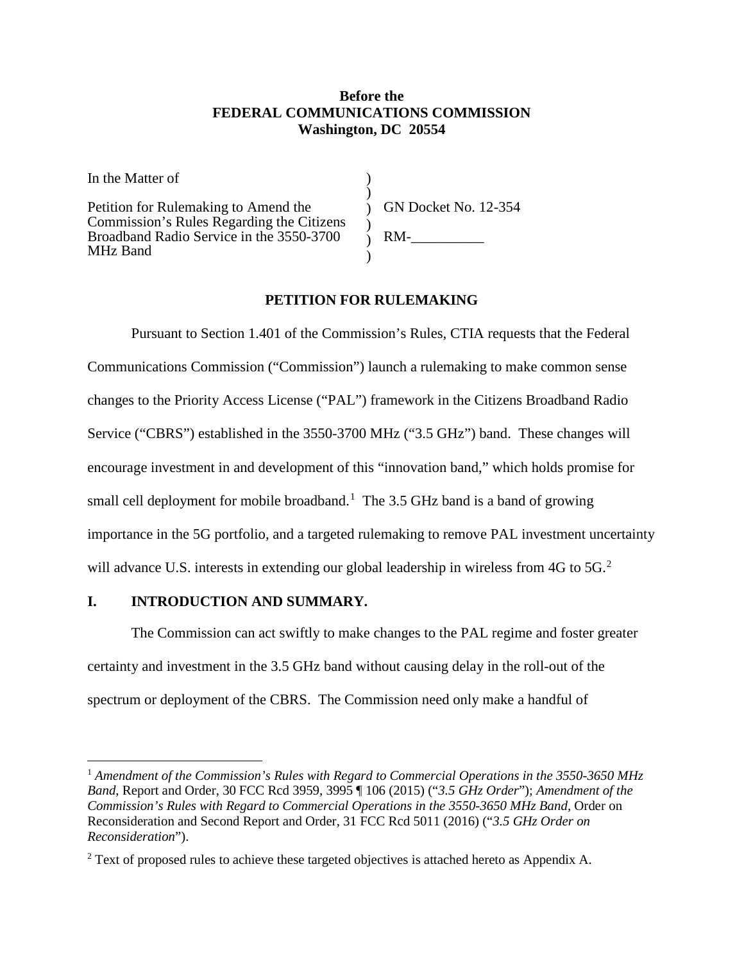#### **Before the FEDERAL COMMUNICATIONS COMMISSION Washington, DC 20554**

) ) )  $\lambda$ ) )

In the Matter of

Petition for Rulemaking to Amend the Commission's Rules Regarding the Citizens Broadband Radio Service in the 3550-3700 MHz Band

GN Docket No. 12-354  $RM-$ 

### **PETITION FOR RULEMAKING**

Pursuant to Section 1.401 of the Commission's Rules, CTIA requests that the Federal Communications Commission ("Commission") launch a rulemaking to make common sense changes to the Priority Access License ("PAL") framework in the Citizens Broadband Radio Service ("CBRS") established in the 3550-3700 MHz ("3.5 GHz") band. These changes will encourage investment in and development of this "innovation band," which holds promise for small cell deployment for mobile broadband.<sup>[1](#page-2-1)</sup> The 3.5 GHz band is a band of growing importance in the 5G portfolio, and a targeted rulemaking to remove PAL investment uncertainty will advance U.S. interests in extending our global leadership in wireless from 4G to 5G.<sup>[2](#page-2-2)</sup>

# <span id="page-2-0"></span>**I. INTRODUCTION AND SUMMARY.**

The Commission can act swiftly to make changes to the PAL regime and foster greater certainty and investment in the 3.5 GHz band without causing delay in the roll-out of the spectrum or deployment of the CBRS. The Commission need only make a handful of

<span id="page-2-1"></span> <sup>1</sup> *Amendment of the Commission's Rules with Regard to Commercial Operations in the 3550-3650 MHz Band*, Report and Order, 30 FCC Rcd 3959, 3995 ¶ 106 (2015) ("*3.5 GHz Order*"); *Amendment of the Commission's Rules with Regard to Commercial Operations in the 3550-3650 MHz Band*, Order on Reconsideration and Second Report and Order, 31 FCC Rcd 5011 (2016) ("*3.5 GHz Order on Reconsideration*").

<span id="page-2-2"></span><sup>&</sup>lt;sup>2</sup> Text of proposed rules to achieve these targeted objectives is attached hereto as Appendix A.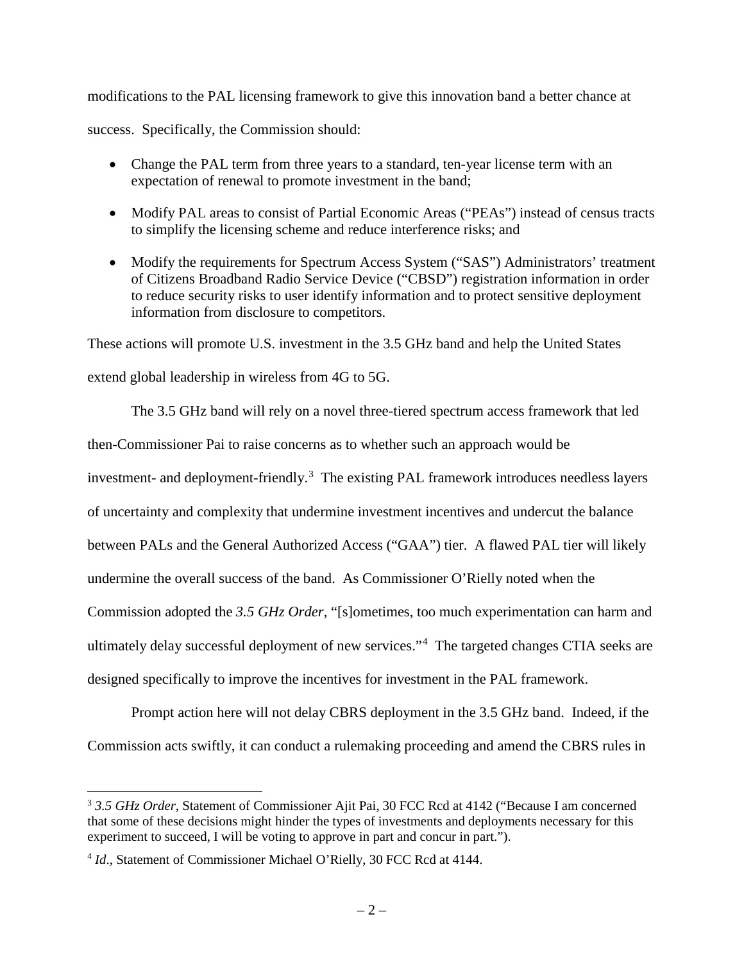modifications to the PAL licensing framework to give this innovation band a better chance at

success. Specifically, the Commission should:

- Change the PAL term from three years to a standard, ten-year license term with an expectation of renewal to promote investment in the band;
- Modify PAL areas to consist of Partial Economic Areas ("PEAs") instead of census tracts to simplify the licensing scheme and reduce interference risks; and
- Modify the requirements for Spectrum Access System ("SAS") Administrators' treatment of Citizens Broadband Radio Service Device ("CBSD") registration information in order to reduce security risks to user identify information and to protect sensitive deployment information from disclosure to competitors.

These actions will promote U.S. investment in the 3.5 GHz band and help the United States

extend global leadership in wireless from 4G to 5G.

The 3.5 GHz band will rely on a novel three-tiered spectrum access framework that led

then-Commissioner Pai to raise concerns as to whether such an approach would be

investment- and deployment-friendly.<sup>[3](#page-3-0)</sup> The existing PAL framework introduces needless layers

of uncertainty and complexity that undermine investment incentives and undercut the balance

between PALs and the General Authorized Access ("GAA") tier. A flawed PAL tier will likely

undermine the overall success of the band. As Commissioner O'Rielly noted when the

Commission adopted the *3.5 GHz Order*, "[s]ometimes, too much experimentation can harm and

ultimately delay successful deployment of new services."[4](#page-3-1) The targeted changes CTIA seeks are

designed specifically to improve the incentives for investment in the PAL framework.

Prompt action here will not delay CBRS deployment in the 3.5 GHz band. Indeed, if the Commission acts swiftly, it can conduct a rulemaking proceeding and amend the CBRS rules in

<span id="page-3-0"></span> <sup>3</sup> *3.5 GHz Order*, Statement of Commissioner Ajit Pai, 30 FCC Rcd at 4142 ("Because I am concerned that some of these decisions might hinder the types of investments and deployments necessary for this experiment to succeed, I will be voting to approve in part and concur in part.").

<span id="page-3-1"></span><sup>&</sup>lt;sup>4</sup> *Id.*, Statement of Commissioner Michael O'Rielly, 30 FCC Rcd at 4144.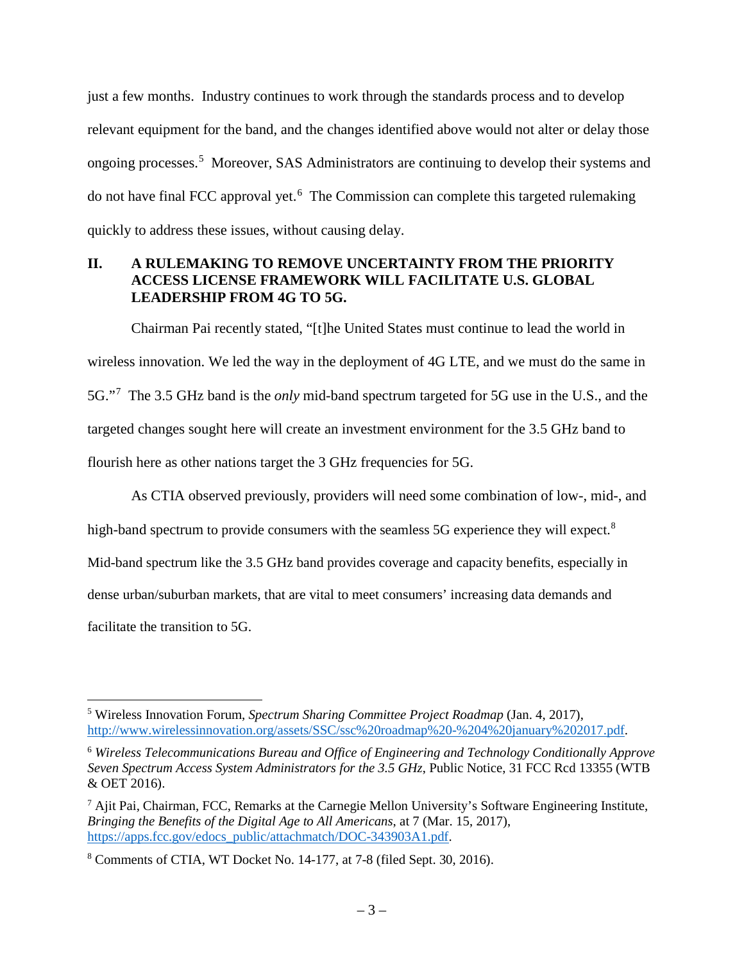just a few months. Industry continues to work through the standards process and to develop relevant equipment for the band, and the changes identified above would not alter or delay those ongoing processes.<sup>[5](#page-4-1)</sup> Moreover, SAS Administrators are continuing to develop their systems and do not have final FCC approval yet.<sup>[6](#page-4-2)</sup> The Commission can complete this targeted rulemaking quickly to address these issues, without causing delay.

### <span id="page-4-0"></span>**II. A RULEMAKING TO REMOVE UNCERTAINTY FROM THE PRIORITY ACCESS LICENSE FRAMEWORK WILL FACILITATE U.S. GLOBAL LEADERSHIP FROM 4G TO 5G.**

Chairman Pai recently stated, "[t]he United States must continue to lead the world in wireless innovation. We led the way in the deployment of 4G LTE, and we must do the same in 5G."[7](#page-4-3) The 3.5 GHz band is the *only* mid-band spectrum targeted for 5G use in the U.S., and the targeted changes sought here will create an investment environment for the 3.5 GHz band to flourish here as other nations target the 3 GHz frequencies for 5G.

As CTIA observed previously, providers will need some combination of low-, mid-, and high-band spectrum to provide consumers with the seamless 5G experience they will expect.<sup>[8](#page-4-4)</sup> Mid-band spectrum like the 3.5 GHz band provides coverage and capacity benefits, especially in dense urban/suburban markets, that are vital to meet consumers' increasing data demands and facilitate the transition to 5G.

<span id="page-4-1"></span> <sup>5</sup> Wireless Innovation Forum, *Spectrum Sharing Committee Project Roadmap* (Jan. 4, 2017), [http://www.wirelessinnovation.org/assets/SSC/ssc%20roadmap%20-%204%20january%202017.pdf.](http://www.wirelessinnovation.org/assets/SSC/ssc%20roadmap%20-%204%20january%202017.pdf)

<span id="page-4-2"></span><sup>6</sup> *Wireless Telecommunications Bureau and Office of Engineering and Technology Conditionally Approve Seven Spectrum Access System Administrators for the 3.5 GHz*, Public Notice, 31 FCC Rcd 13355 (WTB & OET 2016).

<span id="page-4-3"></span><sup>7</sup> Ajit Pai, Chairman, FCC, Remarks at the Carnegie Mellon University's Software Engineering Institute, *Bringing the Benefits of the Digital Age to All Americans*, at 7 (Mar. 15, 2017), [https://apps.fcc.gov/edocs\\_public/attachmatch/DOC-343903A1.pdf.](https://apps.fcc.gov/edocs_public/attachmatch/DOC-343903A1.pdf)

<span id="page-4-4"></span><sup>8</sup> Comments of CTIA, WT Docket No. 14-177, at 7-8 (filed Sept. 30, 2016).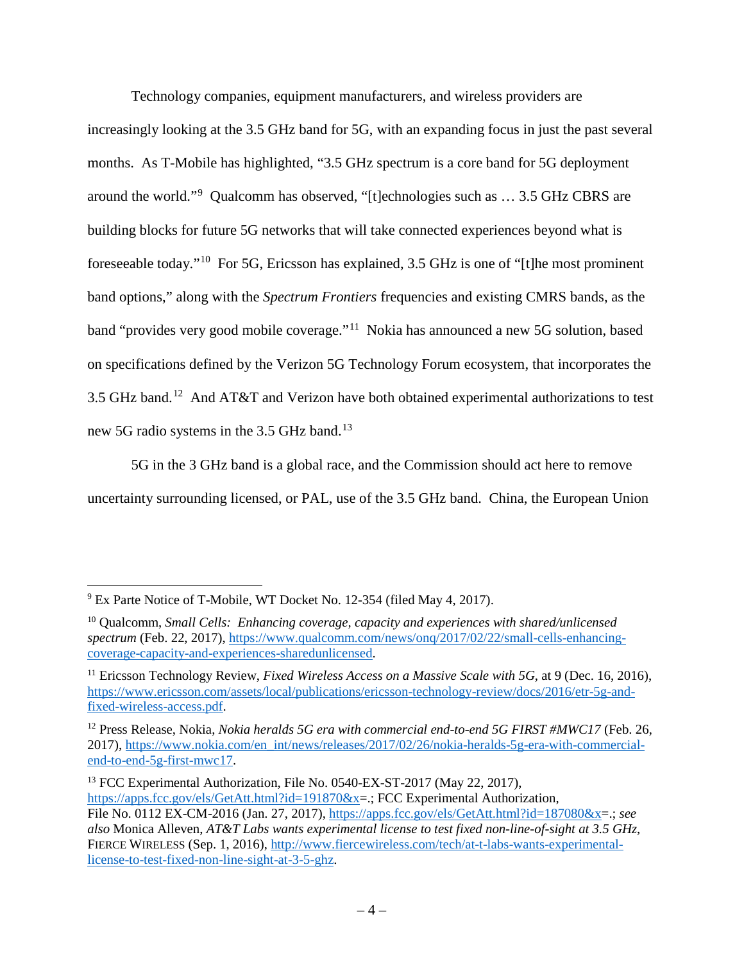Technology companies, equipment manufacturers, and wireless providers are

increasingly looking at the 3.5 GHz band for 5G, with an expanding focus in just the past several months. As T-Mobile has highlighted, "3.5 GHz spectrum is a core band for 5G deployment around the world."[9](#page-5-0) Qualcomm has observed, "[t]echnologies such as … 3.5 GHz CBRS are building blocks for future 5G networks that will take connected experiences beyond what is foreseeable today."[10](#page-5-1) For 5G, Ericsson has explained, 3.5 GHz is one of "[t]he most prominent band options," along with the *Spectrum Frontiers* frequencies and existing CMRS bands, as the band "provides very good mobile coverage."[11](#page-5-2) Nokia has announced a new 5G solution, based on specifications defined by the Verizon 5G Technology Forum ecosystem, that incorporates the 3.5 GHz band.[12](#page-5-3) And AT&T and Verizon have both obtained experimental authorizations to test new 5G radio systems in the 3.5 GHz band.<sup>[13](#page-5-4)</sup>

5G in the 3 GHz band is a global race, and the Commission should act here to remove uncertainty surrounding licensed, or PAL, use of the 3.5 GHz band. China, the European Union

<span id="page-5-0"></span><sup>&</sup>lt;sup>9</sup> Ex Parte Notice of T-Mobile, WT Docket No. 12-354 (filed May 4, 2017).

<span id="page-5-1"></span><sup>10</sup> Qualcomm, *Small Cells: Enhancing coverage, capacity and experiences with shared/unlicensed spectrum* (Feb. 22, 2017), [https://www.qualcomm.com/news/onq/2017/02/22/small-cells-enhancing](https://www.qualcomm.com/news/onq/2017/02/22/small-cells-enhancing-coverage-capacity-and-experiences-sharedunlicensed)[coverage-capacity-and-experiences-sharedunlicensed.](https://www.qualcomm.com/news/onq/2017/02/22/small-cells-enhancing-coverage-capacity-and-experiences-sharedunlicensed)

<span id="page-5-2"></span><sup>11</sup> Ericsson Technology Review, *Fixed Wireless Access on a Massive Scale with 5G*, at 9 (Dec. 16, 2016), [https://www.ericsson.com/assets/local/publications/ericsson-technology-review/docs/2016/etr-5g-and](https://www.ericsson.com/assets/local/publications/ericsson-technology-review/docs/2016/etr-5g-and-fixed-wireless-access.pdf)[fixed-wireless-access.pdf.](https://www.ericsson.com/assets/local/publications/ericsson-technology-review/docs/2016/etr-5g-and-fixed-wireless-access.pdf)

<span id="page-5-3"></span><sup>12</sup> Press Release, Nokia, *Nokia heralds 5G era with commercial end-to-end 5G FIRST #MWC17* (Feb. 26, 2017), [https://www.nokia.com/en\\_int/news/releases/2017/02/26/nokia-heralds-5g-era-with-commercial](https://www.nokia.com/en_int/news/releases/2017/02/26/nokia-heralds-5g-era-with-commercial-end-to-end-5g-first-mwc17)[end-to-end-5g-first-mwc17.](https://www.nokia.com/en_int/news/releases/2017/02/26/nokia-heralds-5g-era-with-commercial-end-to-end-5g-first-mwc17)

<span id="page-5-4"></span><sup>&</sup>lt;sup>13</sup> FCC Experimental Authorization, File No. 0540-EX-ST-2017 (May 22, 2017), [https://apps.fcc.gov/els/GetAtt.html?id=191870&x=](https://apps.fcc.gov/els/GetAtt.html?id=191870&x).; FCC Experimental Authorization, File No. 0112 EX-CM-2016 (Jan. 27, 2017), [https://apps.fcc.gov/els/GetAtt.html?id=187080&x=](https://apps.fcc.gov/els/GetAtt.html?id=187080&x).; *see also* Monica Alleven, *AT&T Labs wants experimental license to test fixed non-line-of-sight at 3.5 GHz*, FIERCE WIRELESS (Sep. 1, 2016), [http://www.fiercewireless.com/tech/at-t-labs-wants-experimental](http://www.fiercewireless.com/tech/at-t-labs-wants-experimental-license-to-test-fixed-non-line-sight-at-3-5-ghz)[license-to-test-fixed-non-line-sight-at-3-5-ghz.](http://www.fiercewireless.com/tech/at-t-labs-wants-experimental-license-to-test-fixed-non-line-sight-at-3-5-ghz)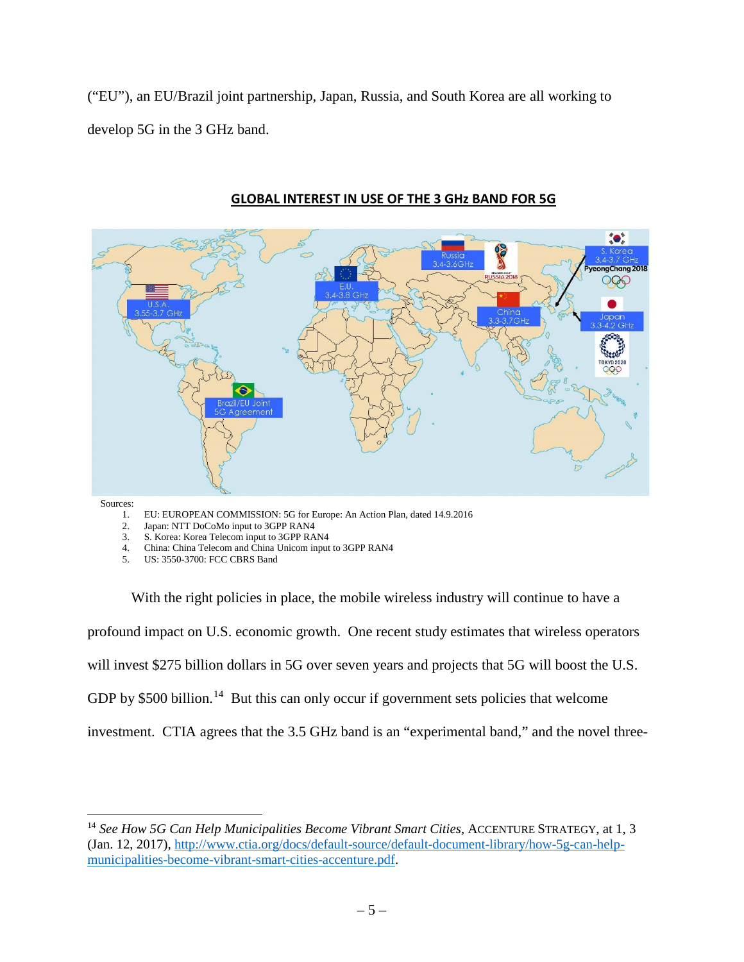("EU"), an EU/Brazil joint partnership, Japan, Russia, and South Korea are all working to develop 5G in the 3 GHz band.



#### **GLOBAL INTEREST IN USE OF THE 3 GHz BAND FOR 5G**

Sources:

- 1. EU: EUROPEAN COMMISSION: 5G for Europe: An Action Plan, dated 14.9.2016<br>2. Japan: NTT DoCoMo input to 3GPP RAN4
- Japan: NTT DoCoMo input to 3GPP RAN4
- 3. S. Korea: Korea Telecom input to 3GPP RAN4
- 4. China: China Telecom and China Unicom input to 3GPP RAN4
- 5. US: 3550-3700: FCC CBRS Band

With the right policies in place, the mobile wireless industry will continue to have a profound impact on U.S. economic growth. One recent study estimates that wireless operators will invest \$275 billion dollars in 5G over seven years and projects that 5G will boost the U.S. GDP by \$500 billion.<sup>[14](#page-6-0)</sup> But this can only occur if government sets policies that welcome investment. CTIA agrees that the 3.5 GHz band is an "experimental band," and the novel three-

<span id="page-6-0"></span><sup>&</sup>lt;sup>14</sup> See How 5G Can Help Municipalities Become Vibrant Smart Cities, ACCENTURE STRATEGY, at 1, 3 (Jan. 12, 2017), [http://www.ctia.org/docs/default-source/default-document-library/how-5g-can-help](http://www.ctia.org/docs/default-source/default-document-library/how-5g-can-help-municipalities-become-vibrant-smart-cities-accenture.pdf)[municipalities-become-vibrant-smart-cities-accenture.pdf.](http://www.ctia.org/docs/default-source/default-document-library/how-5g-can-help-municipalities-become-vibrant-smart-cities-accenture.pdf)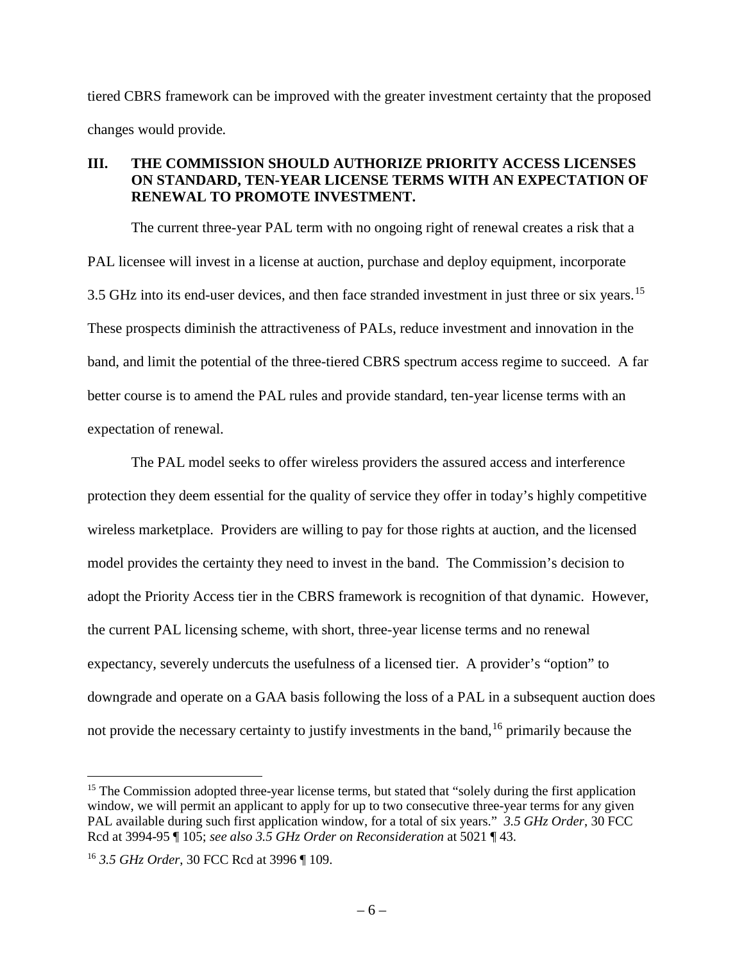tiered CBRS framework can be improved with the greater investment certainty that the proposed changes would provide*.*

### <span id="page-7-0"></span>**III. THE COMMISSION SHOULD AUTHORIZE PRIORITY ACCESS LICENSES ON STANDARD, TEN-YEAR LICENSE TERMS WITH AN EXPECTATION OF RENEWAL TO PROMOTE INVESTMENT.**

The current three-year PAL term with no ongoing right of renewal creates a risk that a PAL licensee will invest in a license at auction, purchase and deploy equipment, incorporate 3.5 GHz into its end-user devices, and then face stranded investment in just three or six years.<sup>15</sup> These prospects diminish the attractiveness of PALs, reduce investment and innovation in the band, and limit the potential of the three-tiered CBRS spectrum access regime to succeed. A far better course is to amend the PAL rules and provide standard, ten-year license terms with an expectation of renewal.

The PAL model seeks to offer wireless providers the assured access and interference protection they deem essential for the quality of service they offer in today's highly competitive wireless marketplace. Providers are willing to pay for those rights at auction, and the licensed model provides the certainty they need to invest in the band. The Commission's decision to adopt the Priority Access tier in the CBRS framework is recognition of that dynamic. However, the current PAL licensing scheme, with short, three-year license terms and no renewal expectancy, severely undercuts the usefulness of a licensed tier. A provider's "option" to downgrade and operate on a GAA basis following the loss of a PAL in a subsequent auction does not provide the necessary certainty to justify investments in the band, [16](#page-7-2) primarily because the

<span id="page-7-1"></span><sup>&</sup>lt;sup>15</sup> The Commission adopted three-year license terms, but stated that "solely during the first application" window, we will permit an applicant to apply for up to two consecutive three-year terms for any given PAL available during such first application window, for a total of six years." *3.5 GHz Order*, 30 FCC Rcd at 3994-95 ¶ 105; *see also 3.5 GHz Order on Reconsideration* at 5021 ¶ 43.

<span id="page-7-2"></span><sup>16</sup> *3.5 GHz Order*, 30 FCC Rcd at 3996 ¶ 109.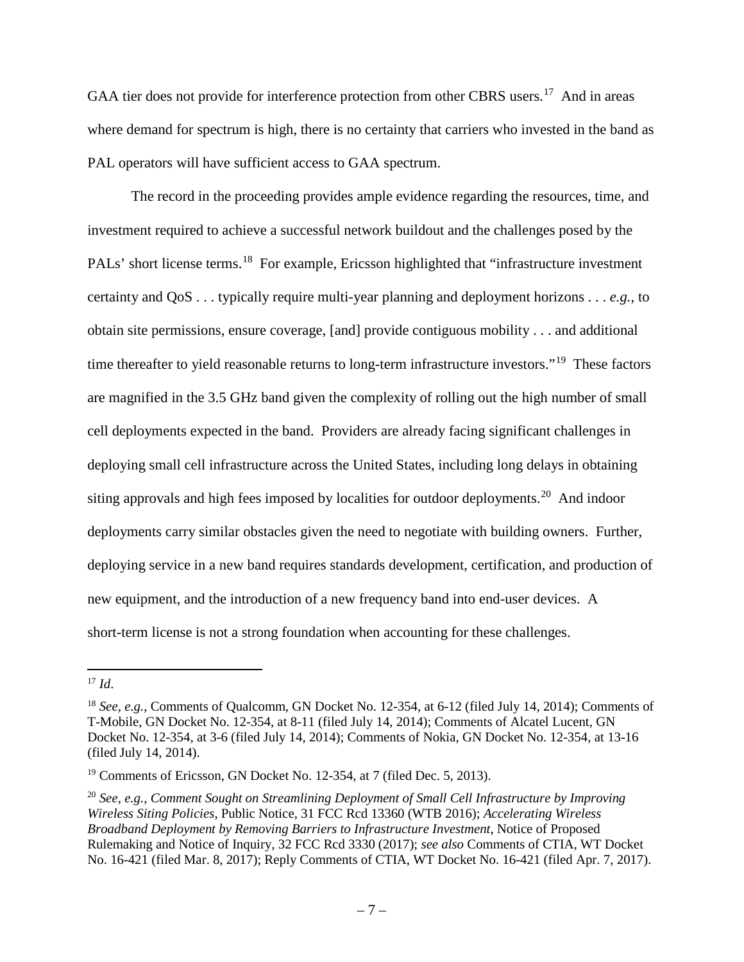GAA tier does not provide for interference protection from other CBRS users.<sup>17</sup> And in areas where demand for spectrum is high, there is no certainty that carriers who invested in the band as PAL operators will have sufficient access to GAA spectrum.

The record in the proceeding provides ample evidence regarding the resources, time, and investment required to achieve a successful network buildout and the challenges posed by the PALs' short license terms.<sup>18</sup> For example, Ericsson highlighted that "infrastructure investment" certainty and QoS . . . typically require multi-year planning and deployment horizons . . . *e.g.*, to obtain site permissions, ensure coverage, [and] provide contiguous mobility . . . and additional time thereafter to yield reasonable returns to long-term infrastructure investors."<sup>19</sup> These factors are magnified in the 3.5 GHz band given the complexity of rolling out the high number of small cell deployments expected in the band. Providers are already facing significant challenges in deploying small cell infrastructure across the United States, including long delays in obtaining siting approvals and high fees imposed by localities for outdoor deployments.<sup>20</sup> And indoor deployments carry similar obstacles given the need to negotiate with building owners. Further, deploying service in a new band requires standards development, certification, and production of new equipment, and the introduction of a new frequency band into end-user devices. A short-term license is not a strong foundation when accounting for these challenges.

<span id="page-8-0"></span> $17$  *Id.* 

<span id="page-8-1"></span><sup>18</sup> *See, e.g.*, Comments of Qualcomm, GN Docket No. 12-354, at 6-12 (filed July 14, 2014); Comments of T-Mobile, GN Docket No. 12-354, at 8-11 (filed July 14, 2014); Comments of Alcatel Lucent, GN Docket No. 12-354, at 3-6 (filed July 14, 2014); Comments of Nokia, GN Docket No. 12-354, at 13-16 (filed July 14, 2014).

<span id="page-8-2"></span><sup>&</sup>lt;sup>19</sup> Comments of Ericsson, GN Docket No. 12-354, at 7 (filed Dec. 5, 2013).

<span id="page-8-3"></span><sup>20</sup> *See, e.g.*, *Comment Sought on Streamlining Deployment of Small Cell Infrastructure by Improving Wireless Siting Policies*, Public Notice, 31 FCC Rcd 13360 (WTB 2016); *Accelerating Wireless Broadband Deployment by Removing Barriers to Infrastructure Investment*, Notice of Proposed Rulemaking and Notice of Inquiry, 32 FCC Rcd 3330 (2017); *see also* Comments of CTIA, WT Docket No. 16-421 (filed Mar. 8, 2017); Reply Comments of CTIA, WT Docket No. 16-421 (filed Apr. 7, 2017).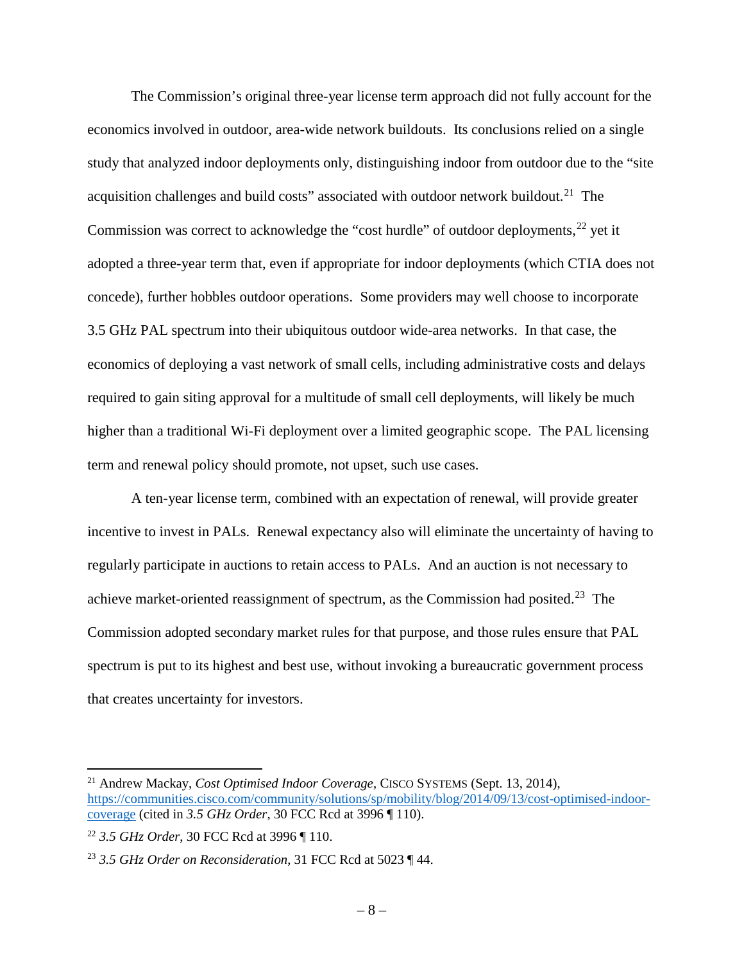The Commission's original three-year license term approach did not fully account for the economics involved in outdoor, area-wide network buildouts. Its conclusions relied on a single study that analyzed indoor deployments only, distinguishing indoor from outdoor due to the "site acquisition challenges and build costs" associated with outdoor network buildout.<sup>21</sup> The Commission was correct to acknowledge the "cost hurdle" of outdoor deployments, $^{22}$  $^{22}$  $^{22}$  yet it adopted a three-year term that, even if appropriate for indoor deployments (which CTIA does not concede), further hobbles outdoor operations. Some providers may well choose to incorporate 3.5 GHz PAL spectrum into their ubiquitous outdoor wide-area networks. In that case, the economics of deploying a vast network of small cells, including administrative costs and delays required to gain siting approval for a multitude of small cell deployments, will likely be much higher than a traditional Wi-Fi deployment over a limited geographic scope. The PAL licensing term and renewal policy should promote, not upset, such use cases.

A ten-year license term, combined with an expectation of renewal, will provide greater incentive to invest in PALs. Renewal expectancy also will eliminate the uncertainty of having to regularly participate in auctions to retain access to PALs. And an auction is not necessary to achieve market-oriented reassignment of spectrum, as the Commission had posited.<sup>23</sup> The Commission adopted secondary market rules for that purpose, and those rules ensure that PAL spectrum is put to its highest and best use, without invoking a bureaucratic government process that creates uncertainty for investors.

<span id="page-9-0"></span> <sup>21</sup> Andrew Mackay, *Cost Optimised Indoor Coverage*, CISCO SYSTEMS (Sept. 13, 2014), [https://communities.cisco.com/community/solutions/sp/mobility/blog/2014/09/13/cost-optimised-indoor](https://communities.cisco.com/community/solutions/sp/mobility/blog/2014/09/13/cost-optimised-indoor-coverage)[coverage](https://communities.cisco.com/community/solutions/sp/mobility/blog/2014/09/13/cost-optimised-indoor-coverage) (cited in *3.5 GHz Order*, 30 FCC Rcd at 3996 ¶ 110).

<span id="page-9-1"></span><sup>22</sup> *3.5 GHz Order*, 30 FCC Rcd at 3996 ¶ 110.

<span id="page-9-2"></span><sup>23</sup> *3.5 GHz Order on Reconsideration*, 31 FCC Rcd at 5023 ¶ 44.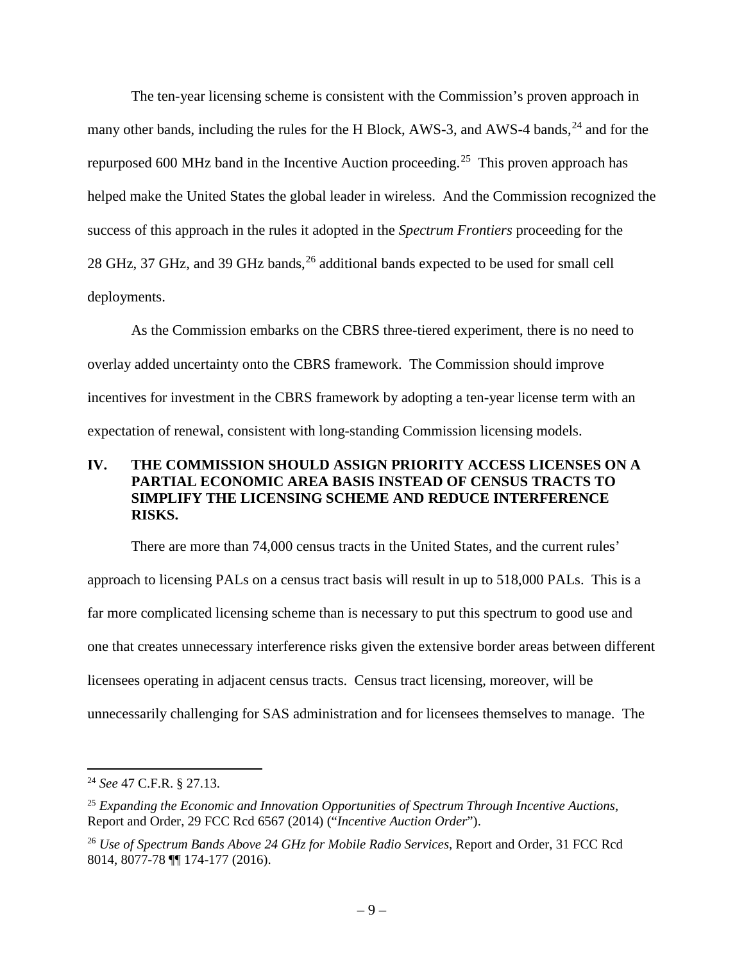The ten-year licensing scheme is consistent with the Commission's proven approach in many other bands, including the rules for the H Block, AWS-3, and AWS-4 bands,  $^{24}$  $^{24}$  $^{24}$  and for the repurposed 600 MHz band in the Incentive Auction proceeding.<sup>25</sup> This proven approach has helped make the United States the global leader in wireless. And the Commission recognized the success of this approach in the rules it adopted in the *Spectrum Frontiers* proceeding for the 28 GHz, 37 GHz, and 39 GHz bands,<sup>[26](#page-10-3)</sup> additional bands expected to be used for small cell deployments.

As the Commission embarks on the CBRS three-tiered experiment, there is no need to overlay added uncertainty onto the CBRS framework. The Commission should improve incentives for investment in the CBRS framework by adopting a ten-year license term with an expectation of renewal, consistent with long-standing Commission licensing models.

# <span id="page-10-0"></span>**IV. THE COMMISSION SHOULD ASSIGN PRIORITY ACCESS LICENSES ON A PARTIAL ECONOMIC AREA BASIS INSTEAD OF CENSUS TRACTS TO SIMPLIFY THE LICENSING SCHEME AND REDUCE INTERFERENCE RISKS.**

There are more than 74,000 census tracts in the United States, and the current rules' approach to licensing PALs on a census tract basis will result in up to 518,000 PALs. This is a far more complicated licensing scheme than is necessary to put this spectrum to good use and one that creates unnecessary interference risks given the extensive border areas between different licensees operating in adjacent census tracts. Census tract licensing, moreover, will be unnecessarily challenging for SAS administration and for licensees themselves to manage. The

<span id="page-10-1"></span> <sup>24</sup> *See* 47 C.F.R. § 27.13.

<span id="page-10-2"></span><sup>25</sup> *Expanding the Economic and Innovation Opportunities of Spectrum Through Incentive Auctions*, Report and Order, 29 FCC Rcd 6567 (2014) ("*Incentive Auction Order*").

<span id="page-10-3"></span><sup>26</sup> *Use of Spectrum Bands Above 24 GHz for Mobile Radio Services*, Report and Order, 31 FCC Rcd 8014, 8077-78 ¶¶ 174-177 (2016).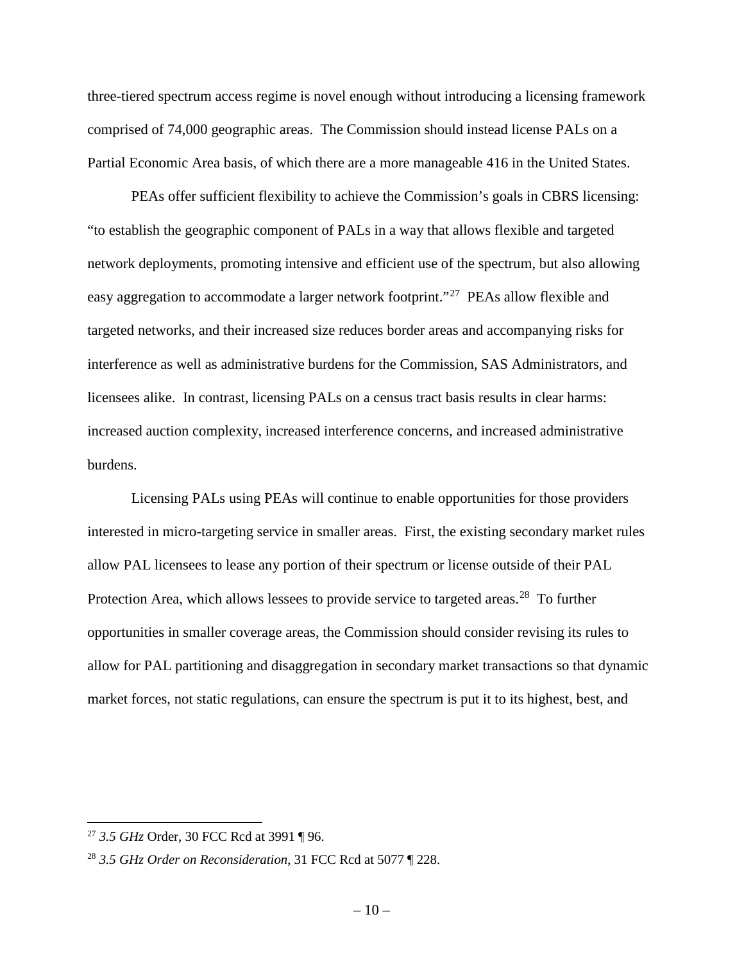three-tiered spectrum access regime is novel enough without introducing a licensing framework comprised of 74,000 geographic areas. The Commission should instead license PALs on a Partial Economic Area basis, of which there are a more manageable 416 in the United States.

PEAs offer sufficient flexibility to achieve the Commission's goals in CBRS licensing: "to establish the geographic component of PALs in a way that allows flexible and targeted network deployments, promoting intensive and efficient use of the spectrum, but also allowing easy aggregation to accommodate a larger network footprint."[27](#page-11-0) PEAs allow flexible and targeted networks, and their increased size reduces border areas and accompanying risks for interference as well as administrative burdens for the Commission, SAS Administrators, and licensees alike. In contrast, licensing PALs on a census tract basis results in clear harms: increased auction complexity, increased interference concerns, and increased administrative burdens.

Licensing PALs using PEAs will continue to enable opportunities for those providers interested in micro-targeting service in smaller areas. First, the existing secondary market rules allow PAL licensees to lease any portion of their spectrum or license outside of their PAL Protection Area, which allows lessees to provide service to targeted areas.<sup>28</sup> To further opportunities in smaller coverage areas, the Commission should consider revising its rules to allow for PAL partitioning and disaggregation in secondary market transactions so that dynamic market forces, not static regulations, can ensure the spectrum is put it to its highest, best, and

<span id="page-11-0"></span> <sup>27</sup> *3.5 GHz* Order, 30 FCC Rcd at 3991 ¶ 96.

<span id="page-11-1"></span><sup>28</sup> *3.5 GHz Order on Reconsideration*, 31 FCC Rcd at 5077 ¶ 228.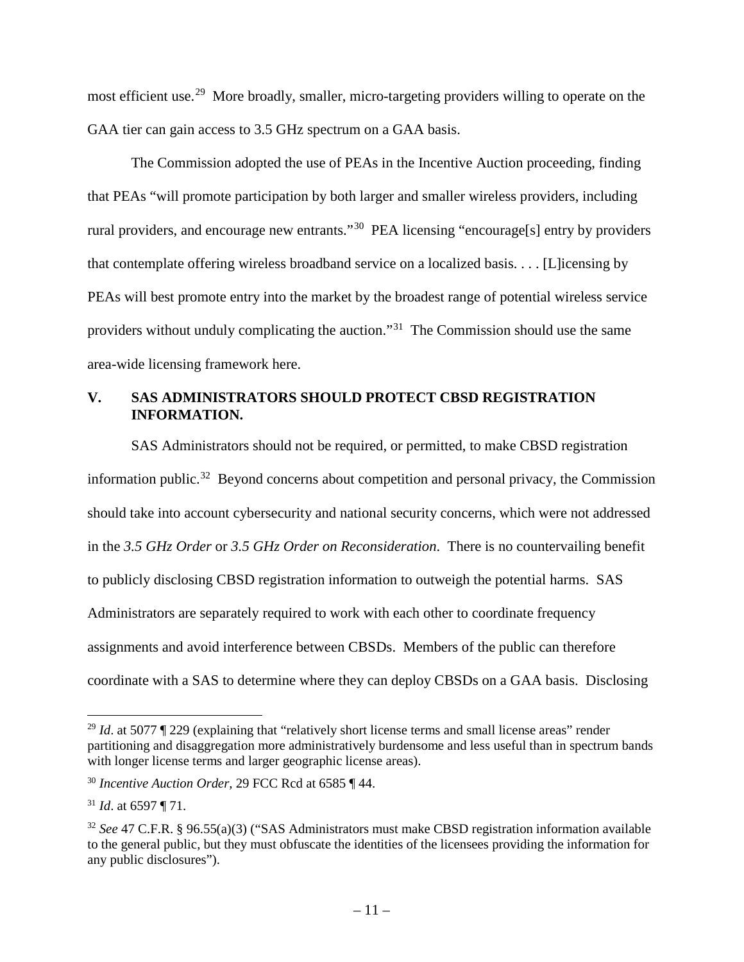most efficient use.<sup>29</sup> More broadly, smaller, micro-targeting providers willing to operate on the GAA tier can gain access to 3.5 GHz spectrum on a GAA basis.

The Commission adopted the use of PEAs in the Incentive Auction proceeding, finding that PEAs "will promote participation by both larger and smaller wireless providers, including rural providers, and encourage new entrants."<sup>30</sup> PEA licensing "encourage<sup>[s]</sup> entry by providers that contemplate offering wireless broadband service on a localized basis. . . . [L]icensing by PEAs will best promote entry into the market by the broadest range of potential wireless service providers without unduly complicating the auction."[31](#page-12-3) The Commission should use the same area-wide licensing framework here.

## <span id="page-12-0"></span>**V. SAS ADMINISTRATORS SHOULD PROTECT CBSD REGISTRATION INFORMATION.**

SAS Administrators should not be required, or permitted, to make CBSD registration information public.<sup>[32](#page-12-4)</sup> Beyond concerns about competition and personal privacy, the Commission should take into account cybersecurity and national security concerns, which were not addressed in the *3.5 GHz Order* or *3.5 GHz Order on Reconsideration*. There is no countervailing benefit to publicly disclosing CBSD registration information to outweigh the potential harms. SAS Administrators are separately required to work with each other to coordinate frequency assignments and avoid interference between CBSDs. Members of the public can therefore coordinate with a SAS to determine where they can deploy CBSDs on a GAA basis. Disclosing

<span id="page-12-1"></span><sup>&</sup>lt;sup>29</sup> *Id.* at 5077 ¶ 229 (explaining that "relatively short license terms and small license areas" render partitioning and disaggregation more administratively burdensome and less useful than in spectrum bands with longer license terms and larger geographic license areas).

<span id="page-12-2"></span><sup>30</sup> *Incentive Auction Order*, 29 FCC Rcd at 6585 ¶ 44.

<span id="page-12-3"></span><sup>31</sup> *Id*. at 6597 ¶ 71.

<span id="page-12-4"></span><sup>32</sup> *See* 47 C.F.R. § 96.55(a)(3) ("SAS Administrators must make CBSD registration information available to the general public, but they must obfuscate the identities of the licensees providing the information for any public disclosures").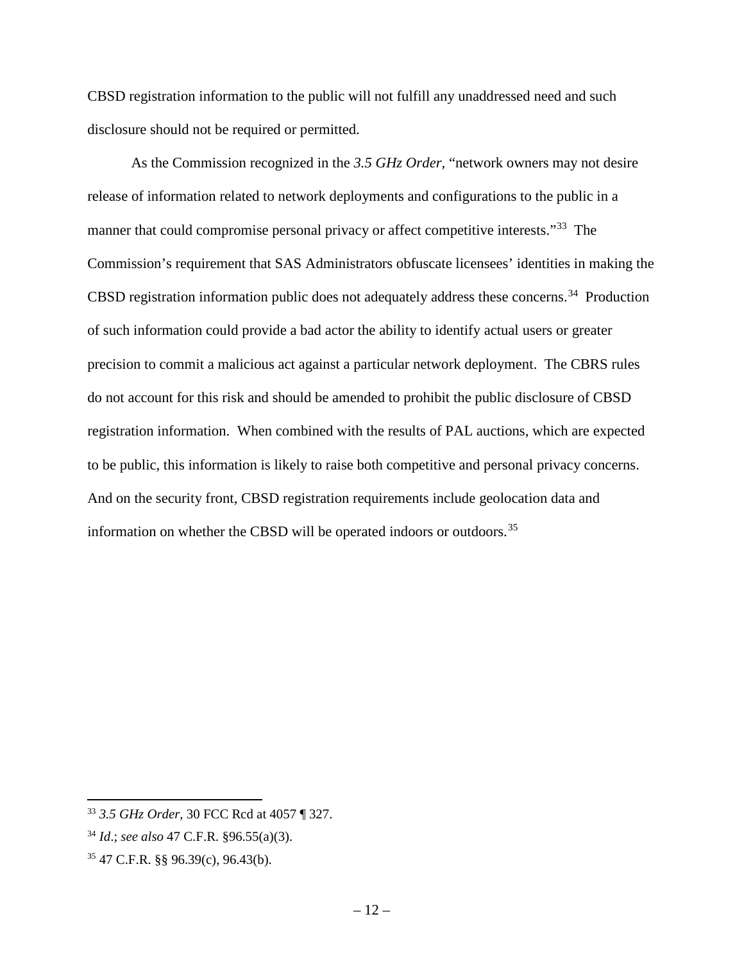CBSD registration information to the public will not fulfill any unaddressed need and such disclosure should not be required or permitted.

As the Commission recognized in the *3.5 GHz Order*, "network owners may not desire release of information related to network deployments and configurations to the public in a manner that could compromise personal privacy or affect competitive interests."<sup>33</sup> The Commission's requirement that SAS Administrators obfuscate licensees' identities in making the CBSD registration information public does not adequately address these concerns.<sup>34</sup> Production of such information could provide a bad actor the ability to identify actual users or greater precision to commit a malicious act against a particular network deployment. The CBRS rules do not account for this risk and should be amended to prohibit the public disclosure of CBSD registration information. When combined with the results of PAL auctions, which are expected to be public, this information is likely to raise both competitive and personal privacy concerns. And on the security front, CBSD registration requirements include geolocation data and information on whether the CBSD will be operated indoors or outdoors.[35](#page-13-3)

<span id="page-13-1"></span><span id="page-13-0"></span> <sup>33</sup> *3.5 GHz Order*, 30 FCC Rcd at 4057 ¶ 327.

<span id="page-13-2"></span><sup>34</sup> *Id*.; *see also* 47 C.F.R. §96.55(a)(3).

<span id="page-13-3"></span><sup>35</sup> 47 C.F.R. §§ 96.39(c), 96.43(b).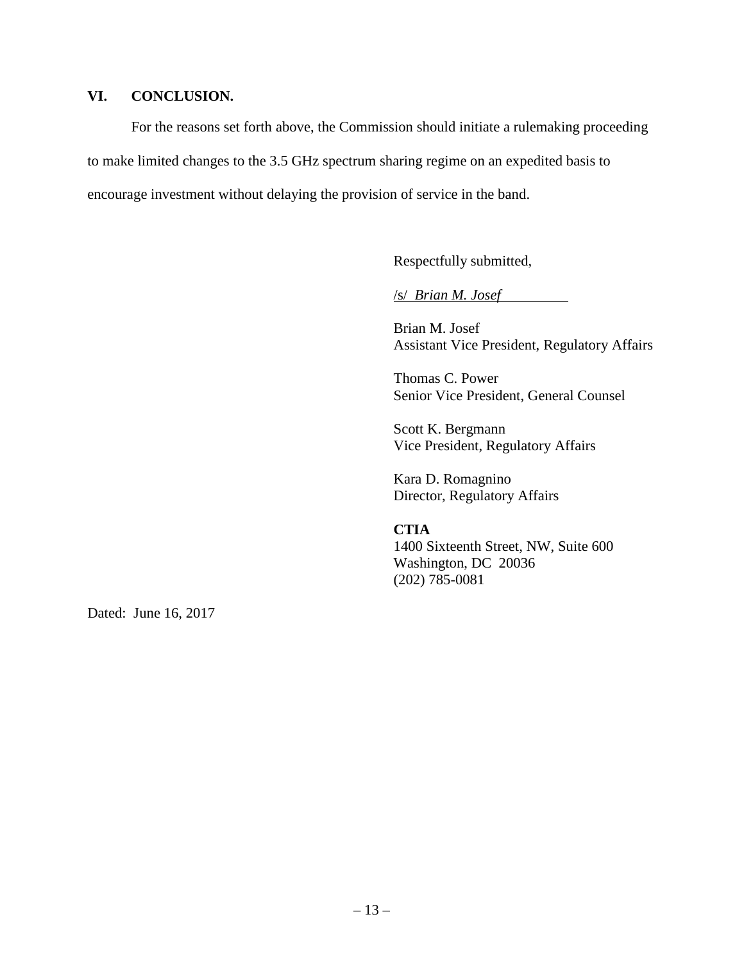### **VI. CONCLUSION.**

For the reasons set forth above, the Commission should initiate a rulemaking proceeding to make limited changes to the 3.5 GHz spectrum sharing regime on an expedited basis to encourage investment without delaying the provision of service in the band.

Respectfully submitted,

/s/ *Brian M. Josef*

Brian M. Josef Assistant Vice President, Regulatory Affairs

Thomas C. Power Senior Vice President, General Counsel

Scott K. Bergmann Vice President, Regulatory Affairs

Kara D. Romagnino Director, Regulatory Affairs

# **CTIA**

1400 Sixteenth Street, NW, Suite 600 Washington, DC 20036 (202) 785-0081

Dated: June 16, 2017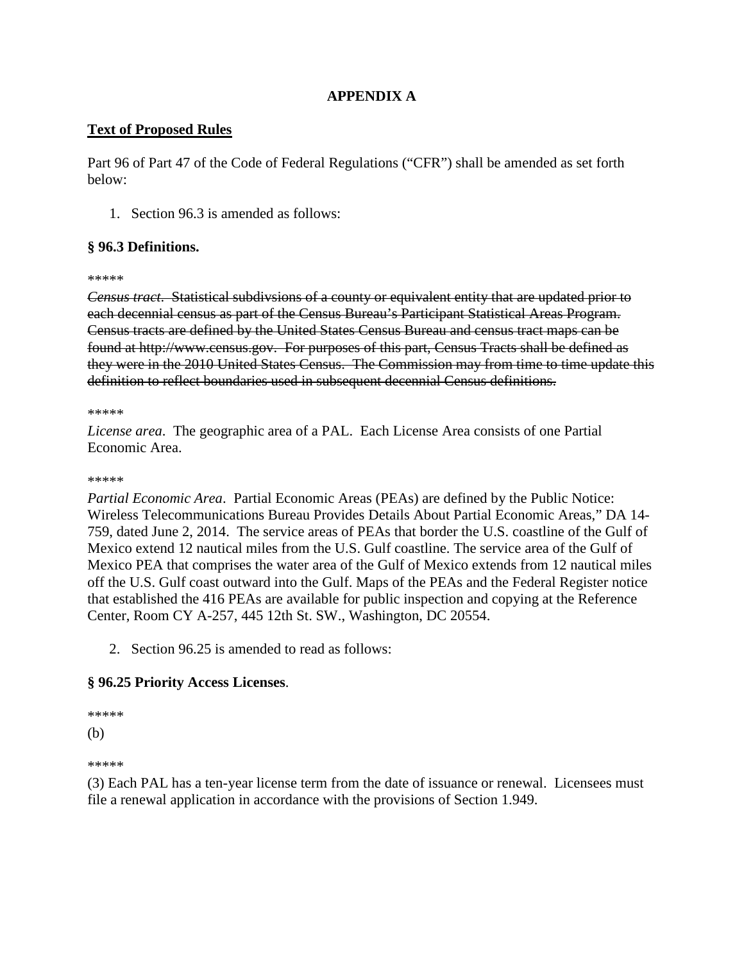# **APPENDIX A**

## **Text of Proposed Rules**

Part 96 of Part 47 of the Code of Federal Regulations ("CFR") shall be amended as set forth below:

1. Section 96.3 is amended as follows:

### **§ 96.3 Definitions.**

#### \*\*\*\*\*

*Census tract*. Statistical subdivsions of a county or equivalent entity that are updated prior to each decennial census as part of the Census Bureau's Participant Statistical Areas Program. Census tracts are defined by the United States Census Bureau and census tract maps can be found at http://www.census.gov. For purposes of this part, Census Tracts shall be defined as they were in the 2010 United States Census. The Commission may from time to time update this definition to reflect boundaries used in subsequent decennial Census definitions.

#### \*\*\*\*\*

*License area*. The geographic area of a PAL. Each License Area consists of one Partial Economic Area.

#### \*\*\*\*\*

*Partial Economic Area*. Partial Economic Areas (PEAs) are defined by the Public Notice: Wireless Telecommunications Bureau Provides Details About Partial Economic Areas," DA 14- 759, dated June 2, 2014. The service areas of PEAs that border the U.S. coastline of the Gulf of Mexico extend 12 nautical miles from the U.S. Gulf coastline. The service area of the Gulf of Mexico PEA that comprises the water area of the Gulf of Mexico extends from 12 nautical miles off the U.S. Gulf coast outward into the Gulf. Maps of the PEAs and the Federal Register notice that established the 416 PEAs are available for public inspection and copying at the Reference Center, Room CY A-257, 445 12th St. SW., Washington, DC 20554.

2. Section 96.25 is amended to read as follows:

# **§ 96.25 Priority Access Licenses**.

#### \*\*\*\*\*

(b)

\*\*\*\*\*

(3) Each PAL has a ten-year license term from the date of issuance or renewal. Licensees must file a renewal application in accordance with the provisions of Section 1.949.